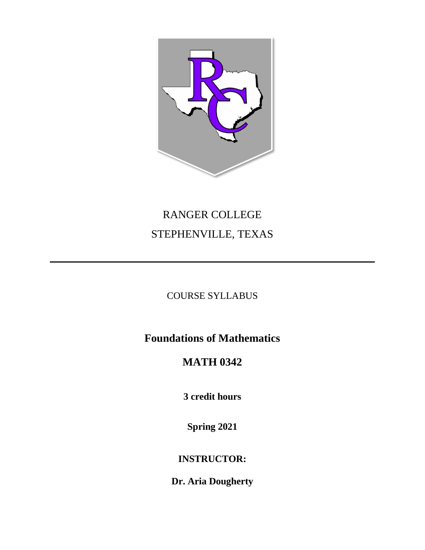

# RANGER COLLEGE STEPHENVILLE, TEXAS

# COURSE SYLLABUS

# **Foundations of Mathematics**

# **MATH 0342**

**3 credit hours**

**Spring 2021**

# **INSTRUCTOR:**

**Dr. Aria Dougherty**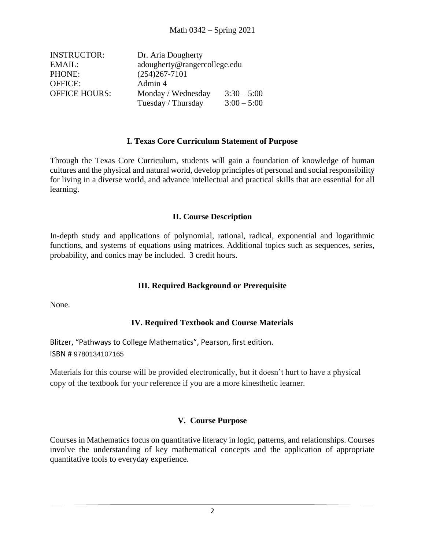| <b>INSTRUCTOR:</b>   | Dr. Aria Dougherty |                              |  |
|----------------------|--------------------|------------------------------|--|
| EMAIL:               |                    | adougherty@rangercollege.edu |  |
| PHONE:               | $(254)267 - 7101$  |                              |  |
| <b>OFFICE:</b>       | Admin 4            |                              |  |
| <b>OFFICE HOURS:</b> | Monday / Wednesday | $3:30 - 5:00$                |  |
|                      | Tuesday / Thursday | $3:00 - 5:00$                |  |

#### **I. Texas Core Curriculum Statement of Purpose**

Through the Texas Core Curriculum, students will gain a foundation of knowledge of human cultures and the physical and natural world, develop principles of personal and social responsibility for living in a diverse world, and advance intellectual and practical skills that are essential for all learning.

#### **II. Course Description**

In-depth study and applications of polynomial, rational, radical, exponential and logarithmic functions, and systems of equations using matrices. Additional topics such as sequences, series, probability, and conics may be included. 3 credit hours.

#### **III. Required Background or Prerequisite**

None.

#### **IV. Required Textbook and Course Materials**

Blitzer, "Pathways to College Mathematics", Pearson, first edition. ISBN # 9780134107165

Materials for this course will be provided electronically, but it doesn't hurt to have a physical copy of the textbook for your reference if you are a more kinesthetic learner.

#### **V. Course Purpose**

Courses in Mathematics focus on quantitative literacy in logic, patterns, and relationships. Courses involve the understanding of key mathematical concepts and the application of appropriate quantitative tools to everyday experience.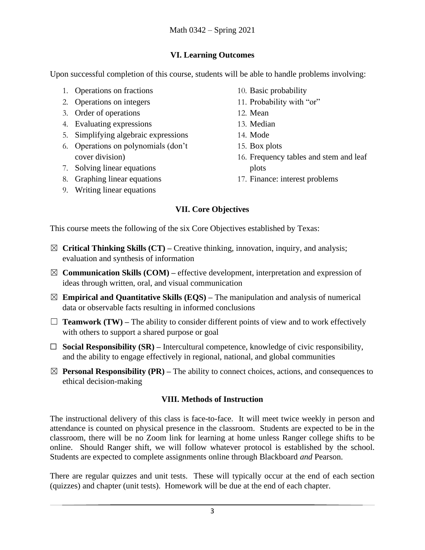## **VI. Learning Outcomes**

Upon successful completion of this course, students will be able to handle problems involving:

- 1. Operations on fractions
- 2. Operations on integers
- 3. Order of operations
- 4. Evaluating expressions
- 5. Simplifying algebraic expressions
- 6. Operations on polynomials (don't cover division)
- 7. Solving linear equations
- 8. Graphing linear equations
- 9. Writing linear equations
- 10. Basic probability
- 11. Probability with "or"
- 12. Mean
- 13. Median
- 14. Mode
- 15. Box plots
- 16. Frequency tables and stem and leaf plots
- 17. Finance: interest problems

# **VII. Core Objectives**

This course meets the following of the six Core Objectives established by Texas:

- ☒ **Critical Thinking Skills (CT) –** Creative thinking, innovation, inquiry, and analysis; evaluation and synthesis of information
- $\boxtimes$  **Communication Skills (COM)** effective development, interpretation and expression of ideas through written, oral, and visual communication
- $\boxtimes$  **Empirical and Quantitative Skills (EQS)** The manipulation and analysis of numerical data or observable facts resulting in informed conclusions
- $\Box$  **Teamwork (TW)** The ability to consider different points of view and to work effectively with others to support a shared purpose or goal
- $\Box$  **Social Responsibility (SR)** Intercultural competence, knowledge of civic responsibility, and the ability to engage effectively in regional, national, and global communities
- $\boxtimes$  **Personal Responsibility (PR)** The ability to connect choices, actions, and consequences to ethical decision-making

# **VIII. Methods of Instruction**

The instructional delivery of this class is face-to-face. It will meet twice weekly in person and attendance is counted on physical presence in the classroom. Students are expected to be in the classroom, there will be no Zoom link for learning at home unless Ranger college shifts to be online. Should Ranger shift, we will follow whatever protocol is established by the school. Students are expected to complete assignments online through Blackboard *and* Pearson.

There are regular quizzes and unit tests. These will typically occur at the end of each section (quizzes) and chapter (unit tests). Homework will be due at the end of each chapter.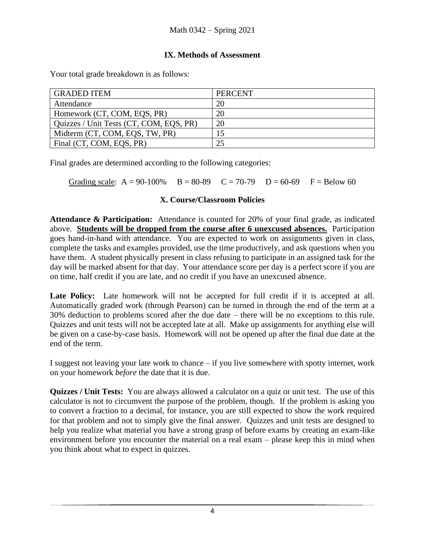### **IX. Methods of Assessment**

Your total grade breakdown is as follows:

| <b>GRADED ITEM</b>                      | <b>PERCENT</b> |
|-----------------------------------------|----------------|
| Attendance                              | 20             |
| Homework (CT, COM, EQS, PR)             | 20             |
| Quizzes / Unit Tests (CT, COM, EQS, PR) | 20             |
| Midterm (CT, COM, EQS, TW, PR)          |                |
| Final (CT, COM, EQS, PR)                |                |

Final grades are determined according to the following categories:

Grading scale:  $A = 90-100\%$   $B = 80-89$   $C = 70-79$   $D = 60-69$   $F = Below 60$ 

#### **X. Course/Classroom Policies**

**Attendance & Participation:** Attendance is counted for 20% of your final grade, as indicated above. **Students will be dropped from the course after 6 unexcused absences.** Participation goes hand-in-hand with attendance. You are expected to work on assignments given in class, complete the tasks and examples provided, use the time productively, and ask questions when you have them. A student physically present in class refusing to participate in an assigned task for the day will be marked absent for that day. Your attendance score per day is a perfect score if you are on time, half credit if you are late, and no credit if you have an unexcused absence.

Late Policy: Late homework will not be accepted for full credit if it is accepted at all. Automatically graded work (through Pearson) can be turned in through the end of the term at a 30% deduction to problems scored after the due date – there will be no exceptions to this rule. Quizzes and unit tests will not be accepted late at all. Make up assignments for anything else will be given on a case-by-case basis. Homework will not be opened up after the final due date at the end of the term.

I suggest not leaving your late work to chance – if you live somewhere with spotty internet, work on your homework *before* the date that it is due.

**Quizzes / Unit Tests:** You are always allowed a calculator on a quiz or unit test. The use of this calculator is not to circumvent the purpose of the problem, though. If the problem is asking you to convert a fraction to a decimal, for instance, you are still expected to show the work required for that problem and not to simply give the final answer. Quizzes and unit tests are designed to help you realize what material you have a strong grasp of before exams by creating an exam-like environment before you encounter the material on a real exam – please keep this in mind when you think about what to expect in quizzes.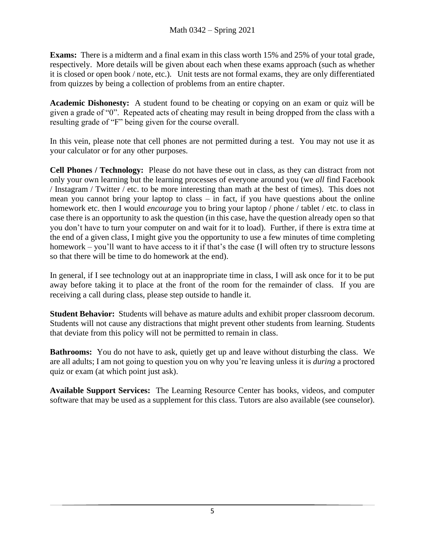**Exams:** There is a midterm and a final exam in this class worth 15% and 25% of your total grade, respectively. More details will be given about each when these exams approach (such as whether it is closed or open book / note, etc.). Unit tests are not formal exams, they are only differentiated from quizzes by being a collection of problems from an entire chapter.

**Academic Dishonesty:** A student found to be cheating or copying on an exam or quiz will be given a grade of "0". Repeated acts of cheating may result in being dropped from the class with a resulting grade of "F" being given for the course overall.

In this vein, please note that cell phones are not permitted during a test. You may not use it as your calculator or for any other purposes.

**Cell Phones / Technology:** Please do not have these out in class, as they can distract from not only your own learning but the learning processes of everyone around you (we *all* find Facebook / Instagram / Twitter / etc. to be more interesting than math at the best of times). This does not mean you cannot bring your laptop to class – in fact, if you have questions about the online homework etc. then I would *encourage* you to bring your laptop / phone / tablet / etc. to class in case there is an opportunity to ask the question (in this case, have the question already open so that you don't have to turn your computer on and wait for it to load). Further, if there is extra time at the end of a given class, I might give you the opportunity to use a few minutes of time completing homework – you'll want to have access to it if that's the case (I will often try to structure lessons so that there will be time to do homework at the end).

In general, if I see technology out at an inappropriate time in class, I will ask once for it to be put away before taking it to place at the front of the room for the remainder of class. If you are receiving a call during class, please step outside to handle it.

**Student Behavior:** Students will behave as mature adults and exhibit proper classroom decorum. Students will not cause any distractions that might prevent other students from learning. Students that deviate from this policy will not be permitted to remain in class.

**Bathrooms:** You do not have to ask, quietly get up and leave without disturbing the class. We are all adults; I am not going to question you on why you're leaving unless it is *during* a proctored quiz or exam (at which point just ask).

**Available Support Services:** The Learning Resource Center has books, videos, and computer software that may be used as a supplement for this class. Tutors are also available (see counselor).